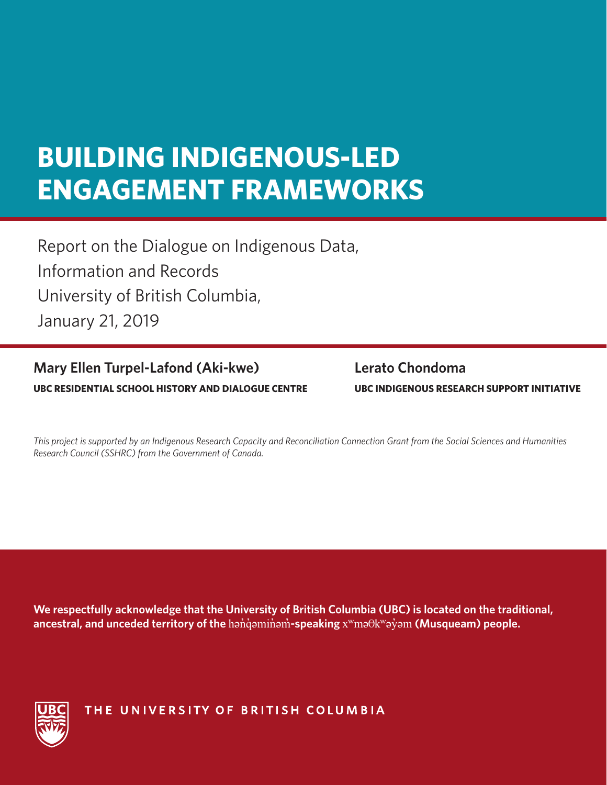# **BUILDING INDIGENOUS-LED ENGAGEMENT FRAMEWORKS**

Report on the Dialogue on Indigenous Data, Information and Records University of British Columbia, January 21, 2019

# **UBC RESIDENTIAL SCHOOL HISTORY AND DIALOGUE CENTRE UBC INDIGENOUS RESEARCH SUPPORT INITIATIVE Mary Ellen Turpel-Lafond (Aki-kwe) Lerato Chondoma**

*This project is supported by an Indigenous Research Capacity and Reconciliation Connection Grant from the Social Sciences and Humanities Research Council (SSHRC) from the Government of Canada.*

**We respectfully acknowledge that the University of British Columbia (UBC) is located on the traditional, ancestral, and unceded territory of the** hən̓q̓əmin̓əm̓**-speaking** xʷməθkʷəy̓əm **(Musqueam) people.** 



THE UNIVERSITY OF BRITISH COLUMBIA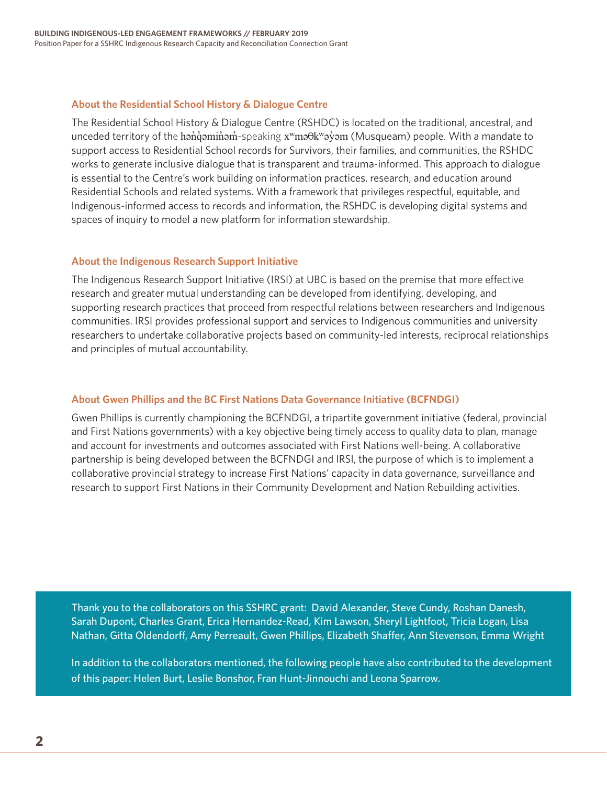## **About the Residential School History & Dialogue Centre**

The Residential School History & Dialogue Centre (RSHDC) is located on the traditional, ancestral, and unceded territory of the hanqvaminam speaking x<sup>w</sup>maθk<sup>w</sup>ay̓am (Musqueam) people. With a mandate to support access to Residential School records for Survivors, their families, and communities, the RSHDC works to generate inclusive dialogue that is transparent and trauma-informed. This approach to dialogue is essential to the Centre's work building on information practices, research, and education around Residential Schools and related systems. With a framework that privileges respectful, equitable, and Indigenous-informed access to records and information, the RSHDC is developing digital systems and spaces of inquiry to model a new platform for information stewardship.

### **About the Indigenous Research Support Initiative**

The Indigenous Research Support Initiative (IRSI) at UBC is based on the premise that more effective research and greater mutual understanding can be developed from identifying, developing, and supporting research practices that proceed from respectful relations between researchers and Indigenous communities. IRSI provides professional support and services to Indigenous communities and university researchers to undertake collaborative projects based on community-led interests, reciprocal relationships and principles of mutual accountability.

## **About Gwen Phillips and the BC First Nations Data Governance Initiative (BCFNDGI)**

Gwen Phillips is currently championing the BCFNDGI, a tripartite government initiative (federal, provincial and First Nations governments) with a key objective being timely access to quality data to plan, manage and account for investments and outcomes associated with First Nations well-being. A collaborative partnership is being developed between the BCFNDGI and IRSI, the purpose of which is to implement a collaborative provincial strategy to increase First Nations' capacity in data governance, surveillance and research to support First Nations in their Community Development and Nation Rebuilding activities.

Thank you to the collaborators on this SSHRC grant: David Alexander, Steve Cundy, Roshan Danesh, Sarah Dupont, Charles Grant, Erica Hernandez-Read, Kim Lawson, Sheryl Lightfoot, Tricia Logan, Lisa Nathan, Gitta Oldendorff, Amy Perreault, Gwen Phillips, Elizabeth Shaffer, Ann Stevenson, Emma Wright

In addition to the collaborators mentioned, the following people have also contributed to the development of this paper: Helen Burt, Leslie Bonshor, Fran Hunt-Jinnouchi and Leona Sparrow.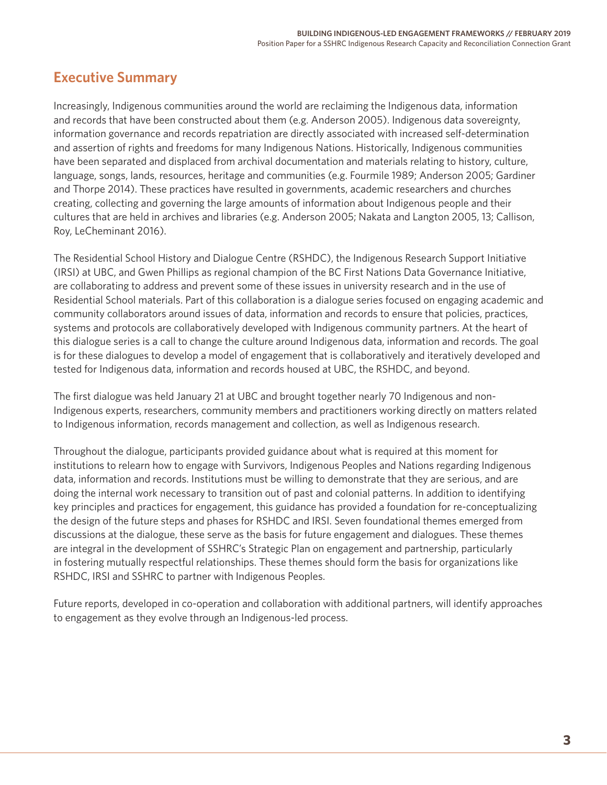# **Executive Summary**

Increasingly, Indigenous communities around the world are reclaiming the Indigenous data, information and records that have been constructed about them (e.g. Anderson 2005). Indigenous data sovereignty, information governance and records repatriation are directly associated with increased self-determination and assertion of rights and freedoms for many Indigenous Nations. Historically, Indigenous communities have been separated and displaced from archival documentation and materials relating to history, culture, language, songs, lands, resources, heritage and communities (e.g. Fourmile 1989; Anderson 2005; Gardiner and Thorpe 2014). These practices have resulted in governments, academic researchers and churches creating, collecting and governing the large amounts of information about Indigenous people and their cultures that are held in archives and libraries (e.g. Anderson 2005; Nakata and Langton 2005, 13; Callison, Roy, LeCheminant 2016).

The Residential School History and Dialogue Centre (RSHDC), the Indigenous Research Support Initiative (IRSI) at UBC, and Gwen Phillips as regional champion of the BC First Nations Data Governance Initiative, are collaborating to address and prevent some of these issues in university research and in the use of Residential School materials. Part of this collaboration is a dialogue series focused on engaging academic and community collaborators around issues of data, information and records to ensure that policies, practices, systems and protocols are collaboratively developed with Indigenous community partners. At the heart of this dialogue series is a call to change the culture around Indigenous data, information and records. The goal is for these dialogues to develop a model of engagement that is collaboratively and iteratively developed and tested for Indigenous data, information and records housed at UBC, the RSHDC, and beyond.

The first dialogue was held January 21 at UBC and brought together nearly 70 Indigenous and non-Indigenous experts, researchers, community members and practitioners working directly on matters related to Indigenous information, records management and collection, as well as Indigenous research.

Throughout the dialogue, participants provided guidance about what is required at this moment for institutions to relearn how to engage with Survivors, Indigenous Peoples and Nations regarding Indigenous data, information and records. Institutions must be willing to demonstrate that they are serious, and are doing the internal work necessary to transition out of past and colonial patterns. In addition to identifying key principles and practices for engagement, this guidance has provided a foundation for re-conceptualizing the design of the future steps and phases for RSHDC and IRSI. Seven foundational themes emerged from discussions at the dialogue, these serve as the basis for future engagement and dialogues. These themes are integral in the development of SSHRC's Strategic Plan on engagement and partnership, particularly in fostering mutually respectful relationships. These themes should form the basis for organizations like RSHDC, IRSI and SSHRC to partner with Indigenous Peoples.

Future reports, developed in co-operation and collaboration with additional partners, will identify approaches to engagement as they evolve through an Indigenous-led process.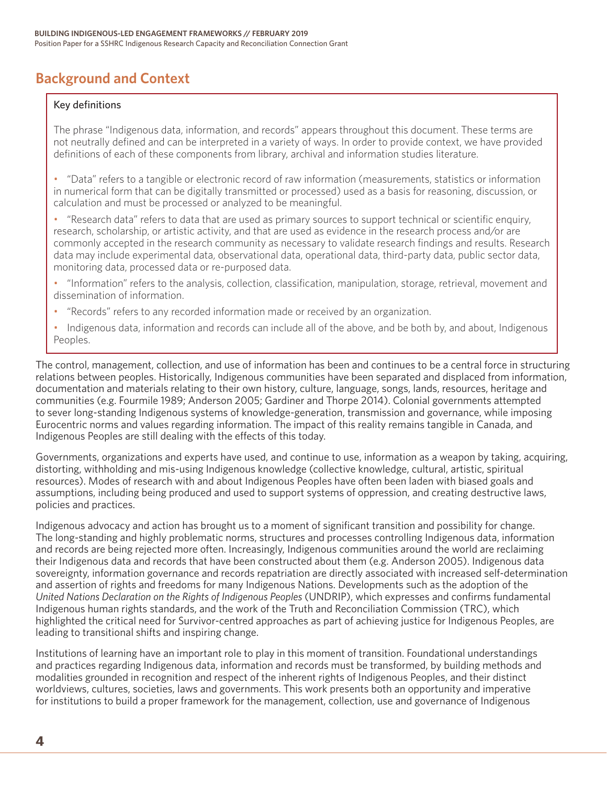# **Background and Context**

### Key definitions

The phrase "Indigenous data, information, and records" appears throughout this document. These terms are not neutrally defined and can be interpreted in a variety of ways. In order to provide context, we have provided definitions of each of these components from library, archival and information studies literature.

• "Data" refers to a tangible or electronic record of raw information (measurements, statistics or information in numerical form that can be digitally transmitted or processed) used as a basis for reasoning, discussion, or calculation and must be processed or analyzed to be meaningful.

• "Research data" refers to data that are used as primary sources to support technical or scientific enquiry, research, scholarship, or artistic activity, and that are used as evidence in the research process and/or are commonly accepted in the research community as necessary to validate research findings and results. Research data may include experimental data, observational data, operational data, third-party data, public sector data, monitoring data, processed data or re-purposed data.

• "Information" refers to the analysis, collection, classification, manipulation, storage, retrieval, movement and dissemination of information.

- "Records" refers to any recorded information made or received by an organization.
- Indigenous data, information and records can include all of the above, and be both by, and about, Indigenous Peoples.

The control, management, collection, and use of information has been and continues to be a central force in structuring relations between peoples. Historically, Indigenous communities have been separated and displaced from information, documentation and materials relating to their own history, culture, language, songs, lands, resources, heritage and communities (e.g. Fourmile 1989; Anderson 2005; Gardiner and Thorpe 2014). Colonial governments attempted to sever long-standing Indigenous systems of knowledge-generation, transmission and governance, while imposing Eurocentric norms and values regarding information. The impact of this reality remains tangible in Canada, and Indigenous Peoples are still dealing with the effects of this today.

Governments, organizations and experts have used, and continue to use, information as a weapon by taking, acquiring, distorting, withholding and mis-using Indigenous knowledge (collective knowledge, cultural, artistic, spiritual resources). Modes of research with and about Indigenous Peoples have often been laden with biased goals and assumptions, including being produced and used to support systems of oppression, and creating destructive laws, policies and practices.

Indigenous advocacy and action has brought us to a moment of significant transition and possibility for change. The long-standing and highly problematic norms, structures and processes controlling Indigenous data, information and records are being rejected more often. Increasingly, Indigenous communities around the world are reclaiming their Indigenous data and records that have been constructed about them (e.g. Anderson 2005). Indigenous data sovereignty, information governance and records repatriation are directly associated with increased self-determination and assertion of rights and freedoms for many Indigenous Nations. Developments such as the adoption of the *United Nations Declaration on the Rights of Indigenous Peoples* (UNDRIP), which expresses and confirms fundamental Indigenous human rights standards, and the work of the Truth and Reconciliation Commission (TRC), which highlighted the critical need for Survivor-centred approaches as part of achieving justice for Indigenous Peoples, are leading to transitional shifts and inspiring change.

Institutions of learning have an important role to play in this moment of transition. Foundational understandings and practices regarding Indigenous data, information and records must be transformed, by building methods and modalities grounded in recognition and respect of the inherent rights of Indigenous Peoples, and their distinct worldviews, cultures, societies, laws and governments. This work presents both an opportunity and imperative for institutions to build a proper framework for the management, collection, use and governance of Indigenous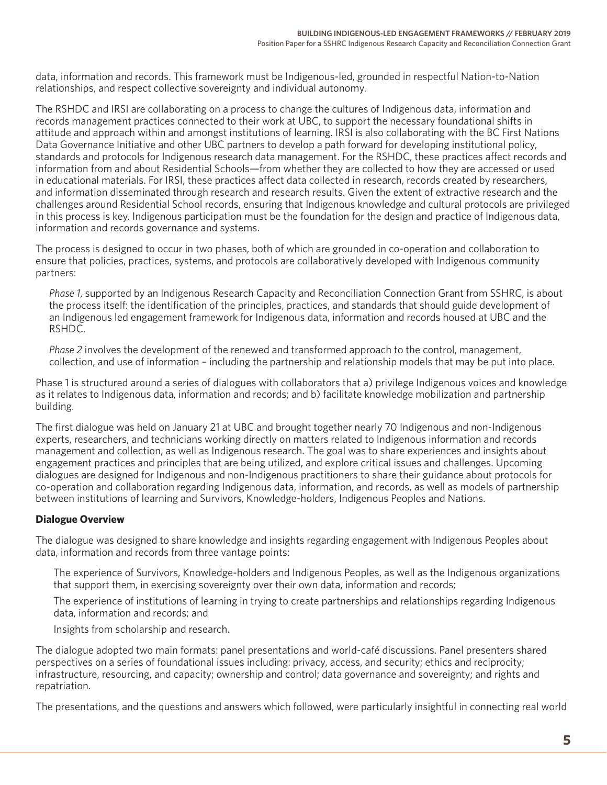data, information and records. This framework must be Indigenous-led, grounded in respectful Nation-to-Nation relationships, and respect collective sovereignty and individual autonomy.

The RSHDC and IRSI are collaborating on a process to change the cultures of Indigenous data, information and records management practices connected to their work at UBC, to support the necessary foundational shifts in attitude and approach within and amongst institutions of learning. IRSI is also collaborating with the BC First Nations Data Governance Initiative and other UBC partners to develop a path forward for developing institutional policy, standards and protocols for Indigenous research data management. For the RSHDC, these practices affect records and information from and about Residential Schools—from whether they are collected to how they are accessed or used in educational materials. For IRSI, these practices affect data collected in research, records created by researchers, and information disseminated through research and research results. Given the extent of extractive research and the challenges around Residential School records, ensuring that Indigenous knowledge and cultural protocols are privileged in this process is key. Indigenous participation must be the foundation for the design and practice of Indigenous data, information and records governance and systems.

The process is designed to occur in two phases, both of which are grounded in co-operation and collaboration to ensure that policies, practices, systems, and protocols are collaboratively developed with Indigenous community partners:

*Phase 1*, supported by an Indigenous Research Capacity and Reconciliation Connection Grant from SSHRC, is about the process itself: the identification of the principles, practices, and standards that should guide development of an Indigenous led engagement framework for Indigenous data, information and records housed at UBC and the RSHDC.

*Phase 2* involves the development of the renewed and transformed approach to the control, management, collection, and use of information – including the partnership and relationship models that may be put into place.

Phase 1 is structured around a series of dialogues with collaborators that a) privilege Indigenous voices and knowledge as it relates to Indigenous data, information and records; and b) facilitate knowledge mobilization and partnership building.

The first dialogue was held on January 21 at UBC and brought together nearly 70 Indigenous and non-Indigenous experts, researchers, and technicians working directly on matters related to Indigenous information and records management and collection, as well as Indigenous research. The goal was to share experiences and insights about engagement practices and principles that are being utilized, and explore critical issues and challenges. Upcoming dialogues are designed for Indigenous and non-Indigenous practitioners to share their guidance about protocols for co-operation and collaboration regarding Indigenous data, information, and records, as well as models of partnership between institutions of learning and Survivors, Knowledge-holders, Indigenous Peoples and Nations.

## **Dialogue Overview**

The dialogue was designed to share knowledge and insights regarding engagement with Indigenous Peoples about data, information and records from three vantage points:

The experience of Survivors, Knowledge-holders and Indigenous Peoples, as well as the Indigenous organizations that support them, in exercising sovereignty over their own data, information and records;

The experience of institutions of learning in trying to create partnerships and relationships regarding Indigenous data, information and records; and

Insights from scholarship and research.

The dialogue adopted two main formats: panel presentations and world-café discussions. Panel presenters shared perspectives on a series of foundational issues including: privacy, access, and security; ethics and reciprocity; infrastructure, resourcing, and capacity; ownership and control; data governance and sovereignty; and rights and repatriation.

The presentations, and the questions and answers which followed, were particularly insightful in connecting real world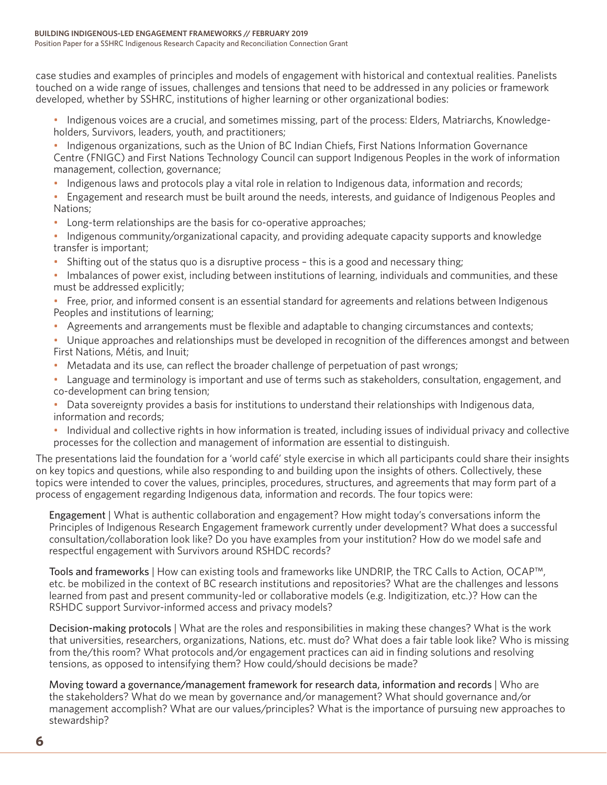case studies and examples of principles and models of engagement with historical and contextual realities. Panelists touched on a wide range of issues, challenges and tensions that need to be addressed in any policies or framework developed, whether by SSHRC, institutions of higher learning or other organizational bodies:

• Indigenous voices are a crucial, and sometimes missing, part of the process: Elders, Matriarchs, Knowledgeholders, Survivors, leaders, youth, and practitioners;

- Indigenous organizations, such as the Union of BC Indian Chiefs, First Nations Information Governance Centre (FNIGC) and First Nations Technology Council can support Indigenous Peoples in the work of information management, collection, governance;
- Indigenous laws and protocols play a vital role in relation to Indigenous data, information and records;
- Engagement and research must be built around the needs, interests, and guidance of Indigenous Peoples and Nations;
- Long-term relationships are the basis for co-operative approaches;
- Indigenous community/organizational capacity, and providing adequate capacity supports and knowledge transfer is important;
- Shifting out of the status quo is a disruptive process this is a good and necessary thing;

• Imbalances of power exist, including between institutions of learning, individuals and communities, and these must be addressed explicitly;

- Free, prior, and informed consent is an essential standard for agreements and relations between Indigenous Peoples and institutions of learning;
- Agreements and arrangements must be flexible and adaptable to changing circumstances and contexts;

• Unique approaches and relationships must be developed in recognition of the differences amongst and between First Nations, Métis, and Inuit;

- Metadata and its use, can reflect the broader challenge of perpetuation of past wrongs;
- Language and terminology is important and use of terms such as stakeholders, consultation, engagement, and co-development can bring tension;

• Data sovereignty provides a basis for institutions to understand their relationships with Indigenous data, information and records;

• Individual and collective rights in how information is treated, including issues of individual privacy and collective processes for the collection and management of information are essential to distinguish.

The presentations laid the foundation for a 'world café' style exercise in which all participants could share their insights on key topics and questions, while also responding to and building upon the insights of others. Collectively, these topics were intended to cover the values, principles, procedures, structures, and agreements that may form part of a process of engagement regarding Indigenous data, information and records. The four topics were:

Engagement | What is authentic collaboration and engagement? How might today's conversations inform the Principles of Indigenous Research Engagement framework currently under development? What does a successful consultation/collaboration look like? Do you have examples from your institution? How do we model safe and respectful engagement with Survivors around RSHDC records?

Tools and frameworks | How can existing tools and frameworks like UNDRIP, the TRC Calls to Action, OCAP™, etc. be mobilized in the context of BC research institutions and repositories? What are the challenges and lessons learned from past and present community-led or collaborative models (e.g. Indigitization, etc.)? How can the RSHDC support Survivor-informed access and privacy models?

Decision-making protocols | What are the roles and responsibilities in making these changes? What is the work that universities, researchers, organizations, Nations, etc. must do? What does a fair table look like? Who is missing from the/this room? What protocols and/or engagement practices can aid in finding solutions and resolving tensions, as opposed to intensifying them? How could/should decisions be made?

Moving toward a governance/management framework for research data, information and records | Who are the stakeholders? What do we mean by governance and/or management? What should governance and/or management accomplish? What are our values/principles? What is the importance of pursuing new approaches to stewardship?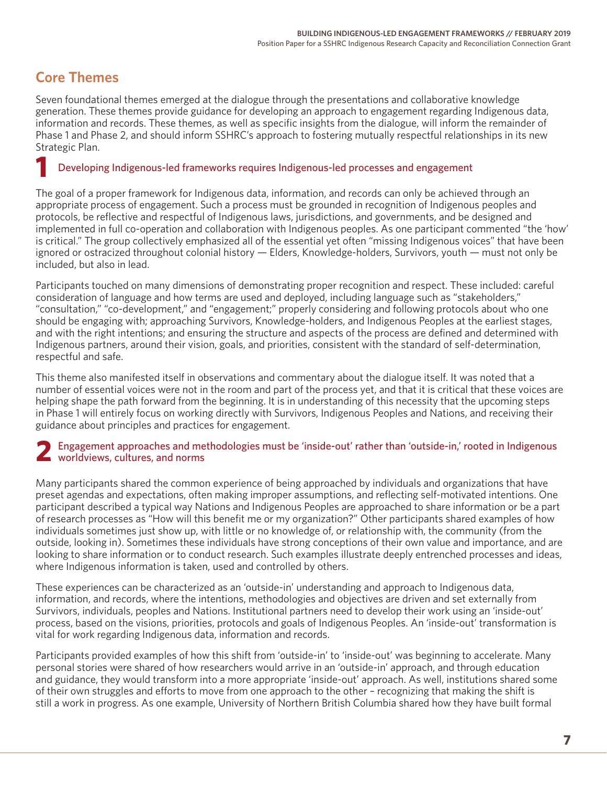# **Core Themes**

Seven foundational themes emerged at the dialogue through the presentations and collaborative knowledge generation. These themes provide guidance for developing an approach to engagement regarding Indigenous data, information and records. These themes, as well as specific insights from the dialogue, will inform the remainder of Phase 1 and Phase 2, and should inform SSHRC's approach to fostering mutually respectful relationships in its new Strategic Plan.

## Developing Indigenous-led frameworks requires Indigenous-led processes and engagement **1**

The goal of a proper framework for Indigenous data, information, and records can only be achieved through an appropriate process of engagement. Such a process must be grounded in recognition of Indigenous peoples and protocols, be reflective and respectful of Indigenous laws, jurisdictions, and governments, and be designed and implemented in full co-operation and collaboration with Indigenous peoples. As one participant commented "the 'how' is critical." The group collectively emphasized all of the essential yet often "missing Indigenous voices" that have been ignored or ostracized throughout colonial history — Elders, Knowledge-holders, Survivors, youth — must not only be included, but also in lead.

Participants touched on many dimensions of demonstrating proper recognition and respect. These included: careful consideration of language and how terms are used and deployed, including language such as "stakeholders," "consultation," "co-development," and "engagement;" properly considering and following protocols about who one should be engaging with; approaching Survivors, Knowledge-holders, and Indigenous Peoples at the earliest stages, and with the right intentions; and ensuring the structure and aspects of the process are defined and determined with Indigenous partners, around their vision, goals, and priorities, consistent with the standard of self-determination, respectful and safe.

This theme also manifested itself in observations and commentary about the dialogue itself. It was noted that a number of essential voices were not in the room and part of the process yet, and that it is critical that these voices are helping shape the path forward from the beginning. It is in understanding of this necessity that the upcoming steps in Phase 1 will entirely focus on working directly with Survivors, Indigenous Peoples and Nations, and receiving their guidance about principles and practices for engagement.

## Engagement approaches and methodologies must be 'inside-out' rather than 'outside-in,' rooted in Indigenous 2 Engagement approaches and me<br>worldviews, cultures, and norms

Many participants shared the common experience of being approached by individuals and organizations that have preset agendas and expectations, often making improper assumptions, and reflecting self-motivated intentions. One participant described a typical way Nations and Indigenous Peoples are approached to share information or be a part of research processes as "How will this benefit me or my organization?" Other participants shared examples of how individuals sometimes just show up, with little or no knowledge of, or relationship with, the community (from the outside, looking in). Sometimes these individuals have strong conceptions of their own value and importance, and are looking to share information or to conduct research. Such examples illustrate deeply entrenched processes and ideas, where Indigenous information is taken, used and controlled by others.

These experiences can be characterized as an 'outside-in' understanding and approach to Indigenous data, information, and records, where the intentions, methodologies and objectives are driven and set externally from Survivors, individuals, peoples and Nations. Institutional partners need to develop their work using an 'inside-out' process, based on the visions, priorities, protocols and goals of Indigenous Peoples. An 'inside-out' transformation is vital for work regarding Indigenous data, information and records.

Participants provided examples of how this shift from 'outside-in' to 'inside-out' was beginning to accelerate. Many personal stories were shared of how researchers would arrive in an 'outside-in' approach, and through education and guidance, they would transform into a more appropriate 'inside-out' approach. As well, institutions shared some of their own struggles and efforts to move from one approach to the other – recognizing that making the shift is still a work in progress. As one example, University of Northern British Columbia shared how they have built formal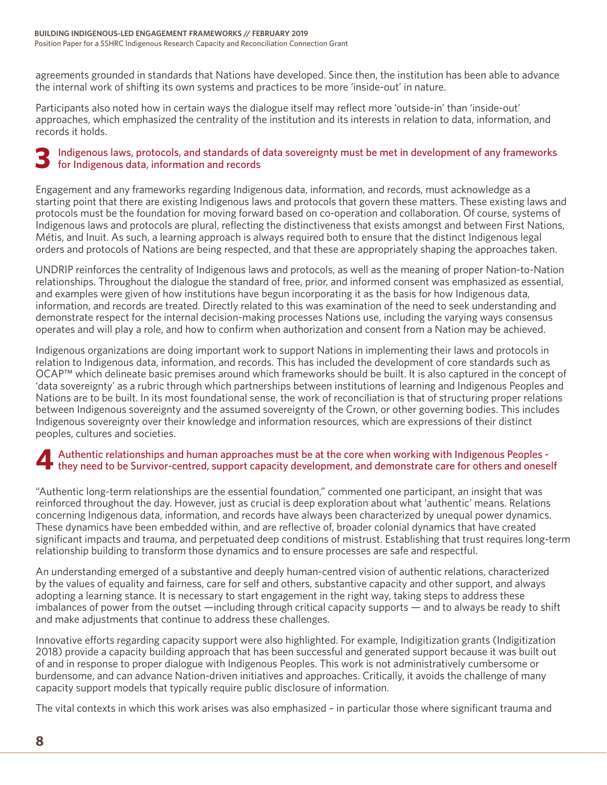agreements grounded in standards that Nations have developed. Since then, the institution has been able to advance the internal work of shifting its own systems and practices to be more 'inside-out' in nature.

Participants also noted how in certain ways the dialogue itself may reflect more 'outside-in' than 'inside-out' approaches, which emphasized the centrality of the institution and its interests in relation to data, information, and records it holds.

#### Indigenous laws, protocols, and standards of data sovereignty must be met in development of any frameworks for Indigenous data, information and records **3**

Engagement and any frameworks regarding Indigenous data, information, and records, must acknowledge as a starting point that there are existing Indigenous laws and protocols that govern these matters. These existing laws and protocols must be the foundation for moving forward based on co-operation and collaboration. Of course, systems of Indigenous laws and protocols are plural, reflecting the distinctiveness that exists amongst and between First Nations, Métis, and Inuit. As such, a learning approach is always required both to ensure that the distinct Indigenous legal orders and protocols of Nations are being respected, and that these are appropriately shaping the approaches taken.

UNDRIP reinforces the centrality of Indigenous laws and protocols, as well as the meaning of proper Nation-to-Nation relationships. Throughout the dialogue the standard of free, prior, and informed consent was emphasized as essential, and examples were given of how institutions have begun incorporating it as the basis for how Indigenous data, information, and records are treated. Directly related to this was examination of the need to seek understanding and demonstrate respect for the internal decision-making processes Nations use, including the varying ways consensus operates and will play a role, and how to confirm when authorization and consent from a Nation may be achieved.

Indigenous organizations are doing important work to support Nations in implementing their laws and protocols in relation to Indigenous data, information, and records. This has included the development of core standards such as OCAP™ which delineate basic premises around which frameworks should be built. It is also captured in the concept of 'data sovereignty' as a rubric through which partnerships between institutions of learning and Indigenous Peoples and Nations are to be built. In its most foundational sense, the work of reconciliation is that of structuring proper relations between Indigenous sovereignty and the assumed sovereignty of the Crown, or other governing bodies. This includes Indigenous sovereignty over their knowledge and information resources, which are expressions of their distinct peoples, cultures and societies.

#### Authentic relationships and human approaches must be at the core when working with Indigenous Peoples they need to be Survivor-centred, support capacity development, and demonstrate care for others and oneself **4**

"Authentic long-term relationships are the essential foundation," commented one participant, an insight that was reinforced throughout the day. However, just as crucial is deep exploration about what 'authentic' means. Relations concerning Indigenous data, information, and records have always been characterized by unequal power dynamics. These dynamics have been embedded within, and are reflective of, broader colonial dynamics that have created significant impacts and trauma, and perpetuated deep conditions of mistrust. Establishing that trust requires long-term relationship building to transform those dynamics and to ensure processes are safe and respectful.

An understanding emerged of a substantive and deeply human-centred vision of authentic relations, characterized by the values of equality and fairness, care for self and others, substantive capacity and other support, and always adopting a learning stance. It is necessary to start engagement in the right way, taking steps to address these imbalances of power from the outset —including through critical capacity supports — and to always be ready to shift and make adjustments that continue to address these challenges.

Innovative efforts regarding capacity support were also highlighted. For example, Indigitization grants (Indigitization 2018) provide a capacity building approach that has been successful and generated support because it was built out of and in response to proper dialogue with Indigenous Peoples. This work is not administratively cumbersome or burdensome, and can advance Nation-driven initiatives and approaches. Critically, it avoids the challenge of many capacity support models that typically require public disclosure of information.

The vital contexts in which this work arises was also emphasized – in particular those where significant trauma and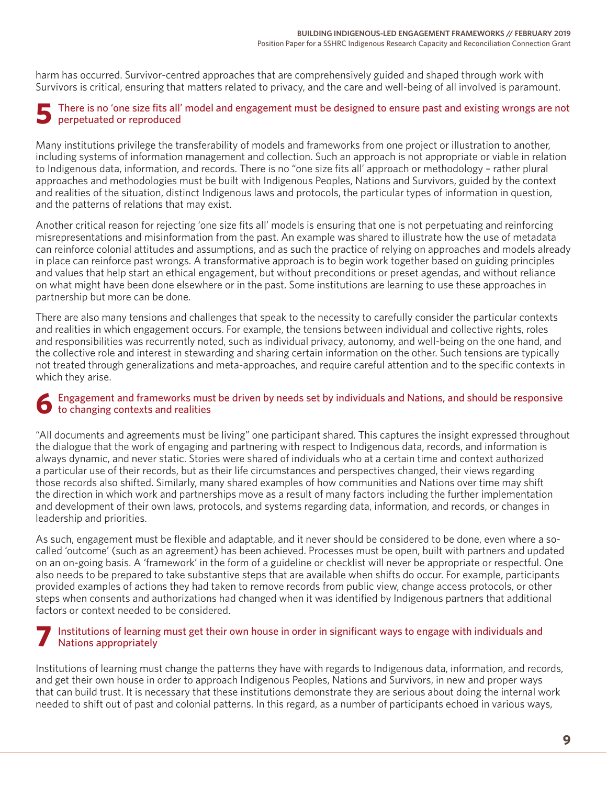harm has occurred. Survivor-centred approaches that are comprehensively guided and shaped through work with Survivors is critical, ensuring that matters related to privacy, and the care and well-being of all involved is paramount.

#### There is no 'one size fits all' model and engagement must be designed to ensure past and existing wrongs are not perpetuated or reproduced **5**

Many institutions privilege the transferability of models and frameworks from one project or illustration to another, including systems of information management and collection. Such an approach is not appropriate or viable in relation to Indigenous data, information, and records. There is no "one size fits all' approach or methodology – rather plural approaches and methodologies must be built with Indigenous Peoples, Nations and Survivors, guided by the context and realities of the situation, distinct Indigenous laws and protocols, the particular types of information in question, and the patterns of relations that may exist.

Another critical reason for rejecting 'one size fits all' models is ensuring that one is not perpetuating and reinforcing misrepresentations and misinformation from the past. An example was shared to illustrate how the use of metadata can reinforce colonial attitudes and assumptions, and as such the practice of relying on approaches and models already in place can reinforce past wrongs. A transformative approach is to begin work together based on guiding principles and values that help start an ethical engagement, but without preconditions or preset agendas, and without reliance on what might have been done elsewhere or in the past. Some institutions are learning to use these approaches in partnership but more can be done.

There are also many tensions and challenges that speak to the necessity to carefully consider the particular contexts and realities in which engagement occurs. For example, the tensions between individual and collective rights, roles and responsibilities was recurrently noted, such as individual privacy, autonomy, and well-being on the one hand, and the collective role and interest in stewarding and sharing certain information on the other. Such tensions are typically not treated through generalizations and meta-approaches, and require careful attention and to the specific contexts in which they arise.

#### Engagement and frameworks must be driven by needs set by individuals and Nations, and should be responsive to changing contexts and realities **6**

"All documents and agreements must be living" one participant shared. This captures the insight expressed throughout the dialogue that the work of engaging and partnering with respect to Indigenous data, records, and information is always dynamic, and never static. Stories were shared of individuals who at a certain time and context authorized a particular use of their records, but as their life circumstances and perspectives changed, their views regarding those records also shifted. Similarly, many shared examples of how communities and Nations over time may shift the direction in which work and partnerships move as a result of many factors including the further implementation and development of their own laws, protocols, and systems regarding data, information, and records, or changes in leadership and priorities.

As such, engagement must be flexible and adaptable, and it never should be considered to be done, even where a socalled 'outcome' (such as an agreement) has been achieved. Processes must be open, built with partners and updated on an on-going basis. A 'framework' in the form of a guideline or checklist will never be appropriate or respectful. One also needs to be prepared to take substantive steps that are available when shifts do occur. For example, participants provided examples of actions they had taken to remove records from public view, change access protocols, or other steps when consents and authorizations had changed when it was identified by Indigenous partners that additional factors or context needed to be considered.

#### Institutions of learning must get their own house in order in significant ways to engage with individuals and Nations appropriately **7**

Institutions of learning must change the patterns they have with regards to Indigenous data, information, and records, and get their own house in order to approach Indigenous Peoples, Nations and Survivors, in new and proper ways that can build trust. It is necessary that these institutions demonstrate they are serious about doing the internal work needed to shift out of past and colonial patterns. In this regard, as a number of participants echoed in various ways,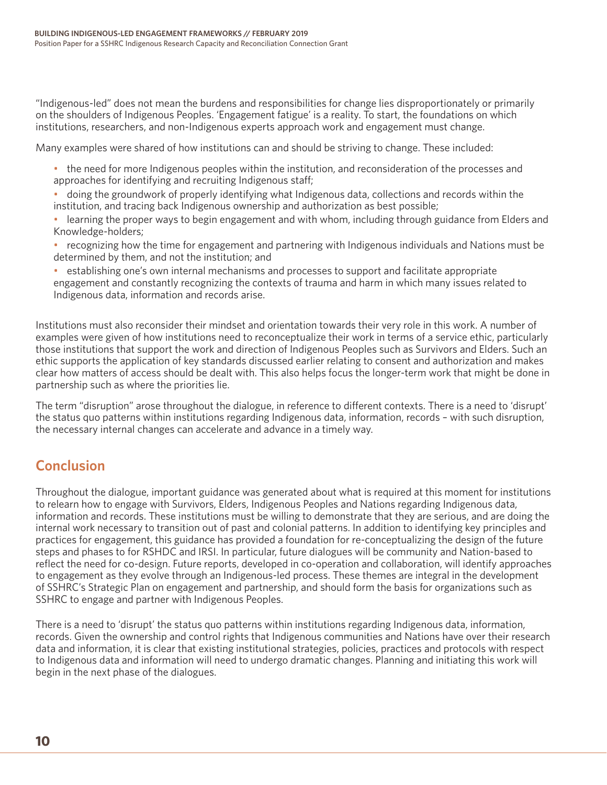"Indigenous-led" does not mean the burdens and responsibilities for change lies disproportionately or primarily on the shoulders of Indigenous Peoples. 'Engagement fatigue' is a reality. To start, the foundations on which institutions, researchers, and non-Indigenous experts approach work and engagement must change.

Many examples were shared of how institutions can and should be striving to change. These included:

- the need for more Indigenous peoples within the institution, and reconsideration of the processes and approaches for identifying and recruiting Indigenous staff;
- doing the groundwork of properly identifying what Indigenous data, collections and records within the institution, and tracing back Indigenous ownership and authorization as best possible;
- learning the proper ways to begin engagement and with whom, including through guidance from Elders and Knowledge-holders;
- recognizing how the time for engagement and partnering with Indigenous individuals and Nations must be determined by them, and not the institution; and
- establishing one's own internal mechanisms and processes to support and facilitate appropriate engagement and constantly recognizing the contexts of trauma and harm in which many issues related to Indigenous data, information and records arise.

Institutions must also reconsider their mindset and orientation towards their very role in this work. A number of examples were given of how institutions need to reconceptualize their work in terms of a service ethic, particularly those institutions that support the work and direction of Indigenous Peoples such as Survivors and Elders. Such an ethic supports the application of key standards discussed earlier relating to consent and authorization and makes clear how matters of access should be dealt with. This also helps focus the longer-term work that might be done in partnership such as where the priorities lie.

The term "disruption" arose throughout the dialogue, in reference to different contexts. There is a need to 'disrupt' the status quo patterns within institutions regarding Indigenous data, information, records – with such disruption, the necessary internal changes can accelerate and advance in a timely way.

# **Conclusion**

Throughout the dialogue, important guidance was generated about what is required at this moment for institutions to relearn how to engage with Survivors, Elders, Indigenous Peoples and Nations regarding Indigenous data, information and records. These institutions must be willing to demonstrate that they are serious, and are doing the internal work necessary to transition out of past and colonial patterns. In addition to identifying key principles and practices for engagement, this guidance has provided a foundation for re-conceptualizing the design of the future steps and phases to for RSHDC and IRSI. In particular, future dialogues will be community and Nation-based to reflect the need for co-design. Future reports, developed in co-operation and collaboration, will identify approaches to engagement as they evolve through an Indigenous-led process. These themes are integral in the development of SSHRC's Strategic Plan on engagement and partnership, and should form the basis for organizations such as SSHRC to engage and partner with Indigenous Peoples.

There is a need to 'disrupt' the status quo patterns within institutions regarding Indigenous data, information, records. Given the ownership and control rights that Indigenous communities and Nations have over their research data and information, it is clear that existing institutional strategies, policies, practices and protocols with respect to Indigenous data and information will need to undergo dramatic changes. Planning and initiating this work will begin in the next phase of the dialogues.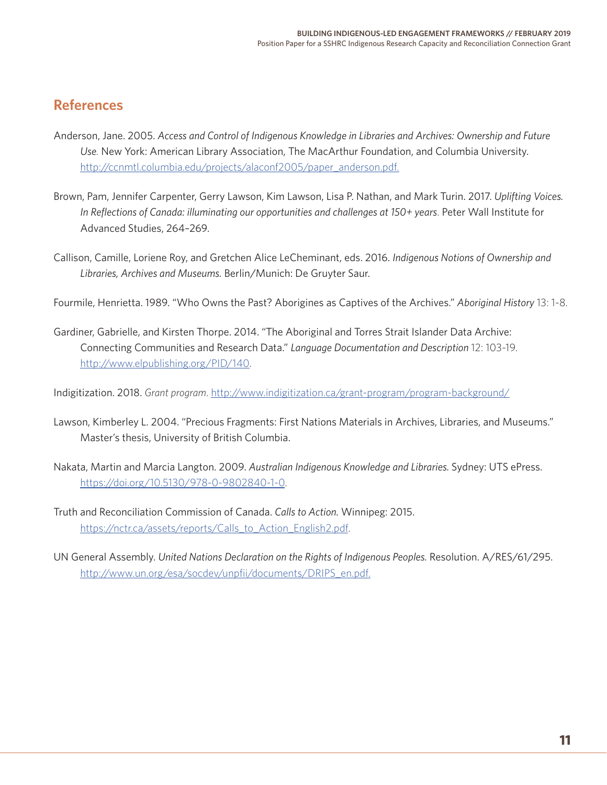# **References**

- Anderson, Jane. 2005. *Access and Control of Indigenous Knowledge in Libraries and Archives: Ownership and Future Use.* New York: American Library Association, The MacArthur Foundation, and Columbia University. [http://ccnmtl.columbia.edu/projects/alaconf2005/paper\\_anderson.pdf.](http://ccnmtl.columbia.edu/projects/alaconf2005/paper_anderson.pdf. )
- Brown, Pam, Jennifer Carpenter, Gerry Lawson, Kim Lawson, Lisa P. Nathan, and Mark Turin. 2017. *Uplifting Voices. In Reflections of Canada: illuminating our opportunities and challenges at 150+ years*. Peter Wall Institute for Advanced Studies, 264–269.
- Callison, Camille, Loriene Roy, and Gretchen Alice LeCheminant, eds. 2016. *Indigenous Notions of Ownership and Libraries, Archives and Museums.* Berlin/Munich: De Gruyter Saur.
- Fourmile, Henrietta. 1989. "Who Owns the Past? Aborigines as Captives of the Archives." *Aboriginal History* 13: 1-8.
- Gardiner, Gabrielle, and Kirsten Thorpe. 2014. "The Aboriginal and Torres Strait Islander Data Archive: Connecting Communities and Research Data." *Language Documentation and Description* 12: 103-19. [http://www.elpublishing.org/PID/140.](http://www.elpublishing.org/PID/140)

Indigitization. 2018. *Grant program*.<http://www.indigitization.ca/grant-program/program-background/>

- Lawson, Kimberley L. 2004. "Precious Fragments: First Nations Materials in Archives, Libraries, and Museums." Master's thesis, University of British Columbia.
- Nakata, Martin and Marcia Langton. 2009. *Australian Indigenous Knowledge and Libraries.* Sydney: UTS ePress. <https://doi.org/10.5130/978-0-9802840-1-0>.
- Truth and Reconciliation Commission of Canada. *Calls to Action.* Winnipeg: 2015. [https://nctr.ca/assets/reports/Calls\\_to\\_Action\\_English2.pdf](https://nctr.ca/assets/reports/Calls_to_Action_English2.pdf).
- UN General Assembly. *United Nations Declaration on the Rights of Indigenous Peoples.* Resolution. A/RES/61/295. [http://www.un.org/esa/socdev/unpfii/documents/DRIPS\\_en.pdf.](http://www.un.org/esa/socdev/unpfii/documents/DRIPS_en.pdf)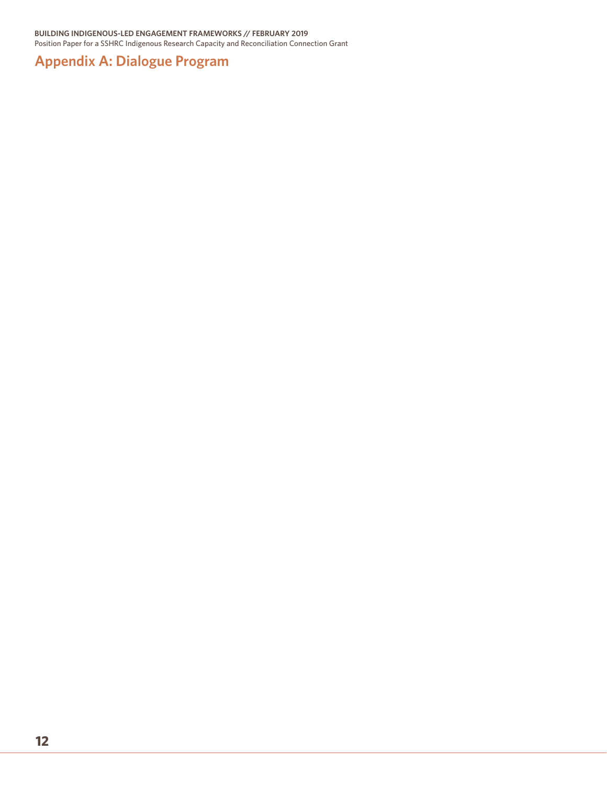# **Appendix A: Dialogue Program**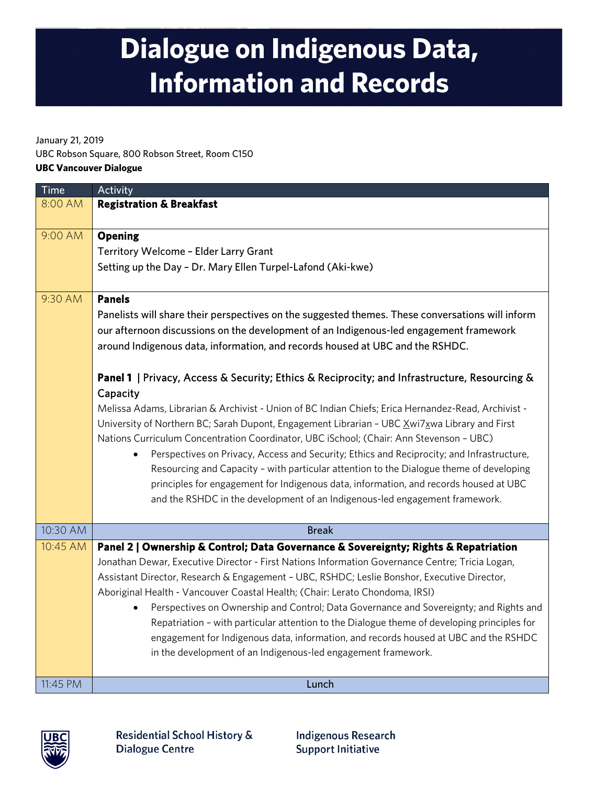# **Dialogue on Indigenous Data, Information and Records**

January 21, 2019

UBC Robson Square, 800 Robson Street, Room C150

### **UBC Vancouver Dialogue**

| <b>Time</b> | Activity                                                                                            |
|-------------|-----------------------------------------------------------------------------------------------------|
| 8:00 AM     | <b>Registration &amp; Breakfast</b>                                                                 |
| 9:00 AM     | <b>Opening</b>                                                                                      |
|             | Territory Welcome - Elder Larry Grant                                                               |
|             | Setting up the Day - Dr. Mary Ellen Turpel-Lafond (Aki-kwe)                                         |
|             |                                                                                                     |
| 9:30 AM     | <b>Panels</b>                                                                                       |
|             | Panelists will share their perspectives on the suggested themes. These conversations will inform    |
|             | our afternoon discussions on the development of an Indigenous-led engagement framework              |
|             | around Indigenous data, information, and records housed at UBC and the RSHDC.                       |
|             |                                                                                                     |
|             | Panel 1   Privacy, Access & Security; Ethics & Reciprocity; and Infrastructure, Resourcing &        |
|             | Capacity                                                                                            |
|             | Melissa Adams, Librarian & Archivist - Union of BC Indian Chiefs; Erica Hernandez-Read, Archivist - |
|             | University of Northern BC; Sarah Dupont, Engagement Librarian - UBC Xwi7xwa Library and First       |
|             | Nations Curriculum Concentration Coordinator, UBC iSchool; (Chair: Ann Stevenson - UBC)             |
|             | Perspectives on Privacy, Access and Security; Ethics and Reciprocity; and Infrastructure,           |
|             | Resourcing and Capacity - with particular attention to the Dialogue theme of developing             |
|             | principles for engagement for Indigenous data, information, and records housed at UBC               |
|             | and the RSHDC in the development of an Indigenous-led engagement framework.                         |
| 10:30 AM    | <b>Break</b>                                                                                        |
| 10:45 AM    | Panel 2   Ownership & Control; Data Governance & Sovereignty; Rights & Repatriation                 |
|             | Jonathan Dewar, Executive Director - First Nations Information Governance Centre; Tricia Logan,     |
|             | Assistant Director, Research & Engagement - UBC, RSHDC; Leslie Bonshor, Executive Director,         |
|             | Aboriginal Health - Vancouver Coastal Health; (Chair: Lerato Chondoma, IRSI)                        |
|             | Perspectives on Ownership and Control; Data Governance and Sovereignty; and Rights and<br>$\bullet$ |
|             | Repatriation - with particular attention to the Dialogue theme of developing principles for         |
|             | engagement for Indigenous data, information, and records housed at UBC and the RSHDC                |
|             | in the development of an Indigenous-led engagement framework.                                       |
|             |                                                                                                     |
| 11:45 PM    | Lunch                                                                                               |



**Indigenous Research Support Initiative**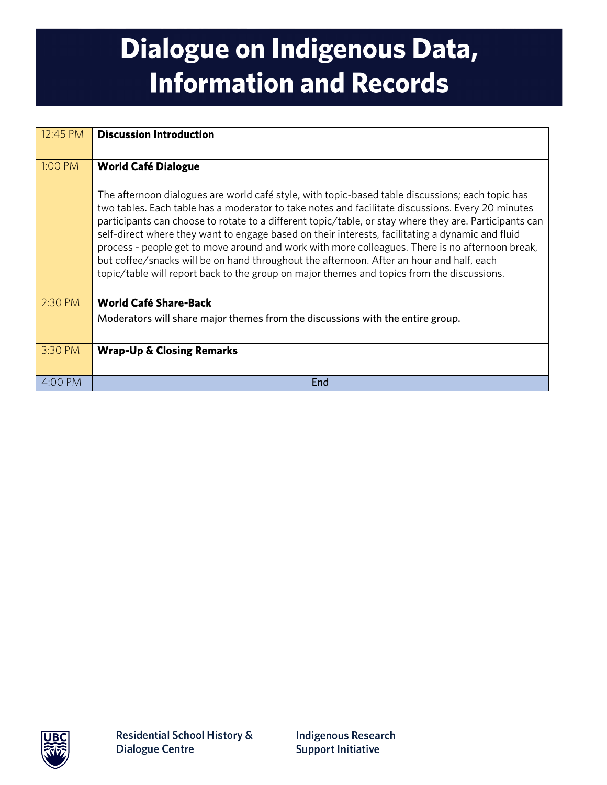# **Dialogue on Indigenous Data, Information and Records**

| 12:45 PM | <b>Discussion Introduction</b>                                                                                                                                                                                                                                                                                                                                                                                                                                                                                                                                                                                                                                                                                   |
|----------|------------------------------------------------------------------------------------------------------------------------------------------------------------------------------------------------------------------------------------------------------------------------------------------------------------------------------------------------------------------------------------------------------------------------------------------------------------------------------------------------------------------------------------------------------------------------------------------------------------------------------------------------------------------------------------------------------------------|
| 1:00 PM  | <b>World Café Dialogue</b>                                                                                                                                                                                                                                                                                                                                                                                                                                                                                                                                                                                                                                                                                       |
|          | The afternoon dialogues are world café style, with topic-based table discussions; each topic has<br>two tables. Each table has a moderator to take notes and facilitate discussions. Every 20 minutes<br>participants can choose to rotate to a different topic/table, or stay where they are. Participants can<br>self-direct where they want to engage based on their interests, facilitating a dynamic and fluid<br>process - people get to move around and work with more colleagues. There is no afternoon break,<br>but coffee/snacks will be on hand throughout the afternoon. After an hour and half, each<br>topic/table will report back to the group on major themes and topics from the discussions. |
| 2:30 PM  | World Café Share-Back                                                                                                                                                                                                                                                                                                                                                                                                                                                                                                                                                                                                                                                                                            |
|          | Moderators will share major themes from the discussions with the entire group.                                                                                                                                                                                                                                                                                                                                                                                                                                                                                                                                                                                                                                   |
| 3:30 PM  | <b>Wrap-Up &amp; Closing Remarks</b>                                                                                                                                                                                                                                                                                                                                                                                                                                                                                                                                                                                                                                                                             |
| 4:00 PM  | <b>End</b>                                                                                                                                                                                                                                                                                                                                                                                                                                                                                                                                                                                                                                                                                                       |

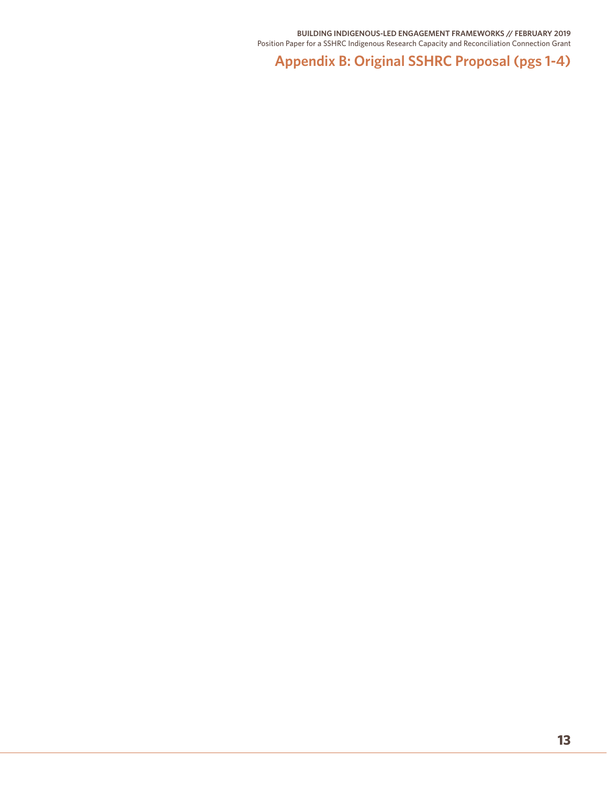**Appendix B: Original SSHRC Proposal (pgs 1-4)**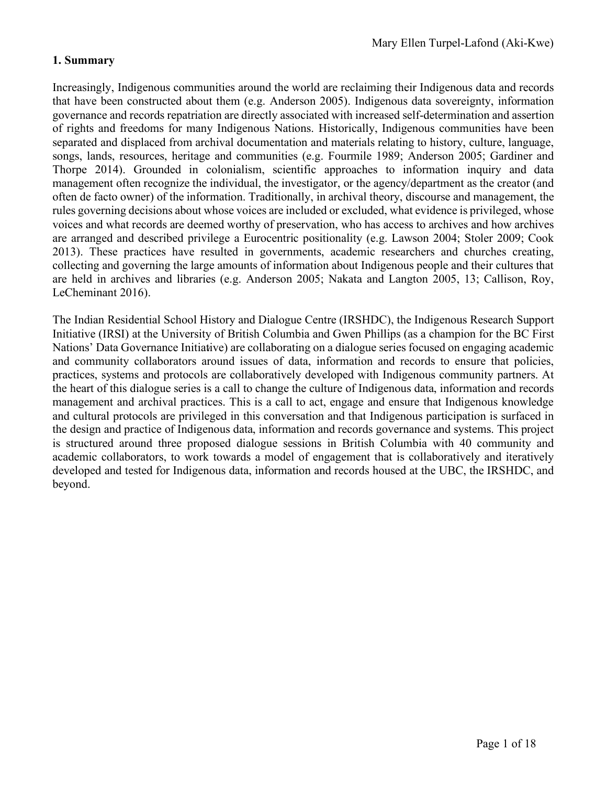## **1. Summary**

Increasingly, Indigenous communities around the world are reclaiming their Indigenous data and records that have been constructed about them (e.g. Anderson 2005). Indigenous data sovereignty, information governance and records repatriation are directly associated with increased self-determination and assertion of rights and freedoms for many Indigenous Nations. Historically, Indigenous communities have been separated and displaced from archival documentation and materials relating to history, culture, language, songs, lands, resources, heritage and communities (e.g. Fourmile 1989; Anderson 2005; Gardiner and Thorpe 2014). Grounded in colonialism, scientific approaches to information inquiry and data management often recognize the individual, the investigator, or the agency/department as the creator (and often de facto owner) of the information. Traditionally, in archival theory, discourse and management, the rules governing decisions about whose voices are included or excluded, what evidence is privileged, whose voices and what records are deemed worthy of preservation, who has access to archives and how archives are arranged and described privilege a Eurocentric positionality (e.g. Lawson 2004; Stoler 2009; Cook 2013). These practices have resulted in governments, academic researchers and churches creating, collecting and governing the large amounts of information about Indigenous people and their cultures that are held in archives and libraries (e.g. Anderson 2005; Nakata and Langton 2005, 13; Callison, Roy, LeCheminant 2016).

The Indian Residential School History and Dialogue Centre (IRSHDC), the Indigenous Research Support Initiative (IRSI) at the University of British Columbia and Gwen Phillips (as a champion for the BC First Nations' Data Governance Initiative) are collaborating on a dialogue series focused on engaging academic and community collaborators around issues of data, information and records to ensure that policies, practices, systems and protocols are collaboratively developed with Indigenous community partners. At the heart of this dialogue series is a call to change the culture of Indigenous data, information and records management and archival practices. This is a call to act, engage and ensure that Indigenous knowledge and cultural protocols are privileged in this conversation and that Indigenous participation is surfaced in the design and practice of Indigenous data, information and records governance and systems. This project is structured around three proposed dialogue sessions in British Columbia with 40 community and academic collaborators, to work towards a model of engagement that is collaboratively and iteratively developed and tested for Indigenous data, information and records housed at the UBC, the IRSHDC, and beyond.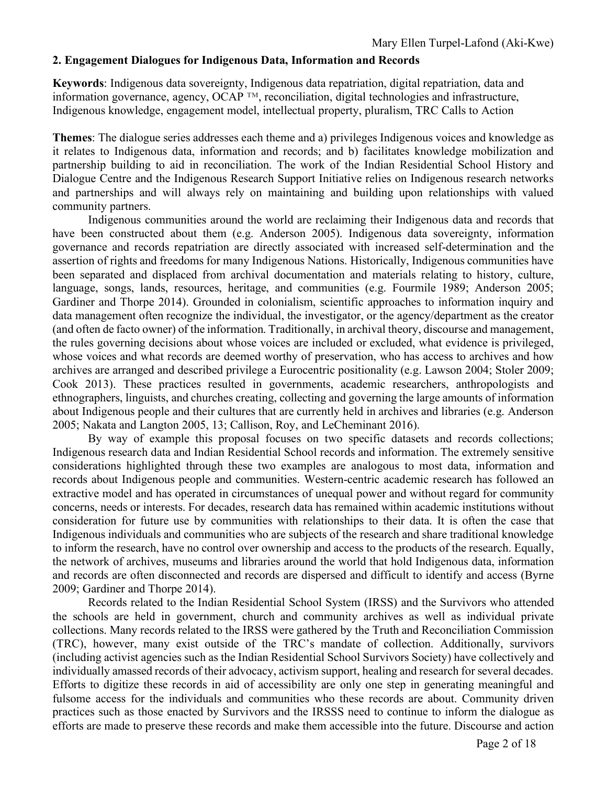## **2. Engagement Dialogues for Indigenous Data, Information and Records**

**Keywords**: Indigenous data sovereignty, Indigenous data repatriation, digital repatriation, data and information governance, agency, OCAP ™, reconciliation, digital technologies and infrastructure, Indigenous knowledge, engagement model, intellectual property, pluralism, TRC Calls to Action

**Themes**: The dialogue series addresses each theme and a) privileges Indigenous voices and knowledge as it relates to Indigenous data, information and records; and b) facilitates knowledge mobilization and partnership building to aid in reconciliation. The work of the Indian Residential School History and Dialogue Centre and the Indigenous Research Support Initiative relies on Indigenous research networks and partnerships and will always rely on maintaining and building upon relationships with valued community partners.

Indigenous communities around the world are reclaiming their Indigenous data and records that have been constructed about them (e.g. Anderson 2005). Indigenous data sovereignty, information governance and records repatriation are directly associated with increased self-determination and the assertion of rights and freedoms for many Indigenous Nations. Historically, Indigenous communities have been separated and displaced from archival documentation and materials relating to history, culture, language, songs, lands, resources, heritage, and communities (e.g. Fourmile 1989; Anderson 2005; Gardiner and Thorpe 2014). Grounded in colonialism, scientific approaches to information inquiry and data management often recognize the individual, the investigator, or the agency/department as the creator (and often de facto owner) of the information. Traditionally, in archival theory, discourse and management, the rules governing decisions about whose voices are included or excluded, what evidence is privileged, whose voices and what records are deemed worthy of preservation, who has access to archives and how archives are arranged and described privilege a Eurocentric positionality (e.g. Lawson 2004; Stoler 2009; Cook 2013). These practices resulted in governments, academic researchers, anthropologists and ethnographers, linguists, and churches creating, collecting and governing the large amounts of information about Indigenous people and their cultures that are currently held in archives and libraries (e.g. Anderson 2005; Nakata and Langton 2005, 13; Callison, Roy, and LeCheminant 2016).

By way of example this proposal focuses on two specific datasets and records collections; Indigenous research data and Indian Residential School records and information. The extremely sensitive considerations highlighted through these two examples are analogous to most data, information and records about Indigenous people and communities. Western-centric academic research has followed an extractive model and has operated in circumstances of unequal power and without regard for community concerns, needs or interests. For decades, research data has remained within academic institutions without consideration for future use by communities with relationships to their data. It is often the case that Indigenous individuals and communities who are subjects of the research and share traditional knowledge to inform the research, have no control over ownership and access to the products of the research. Equally, the network of archives, museums and libraries around the world that hold Indigenous data, information and records are often disconnected and records are dispersed and difficult to identify and access (Byrne 2009; Gardiner and Thorpe 2014).

Records related to the Indian Residential School System (IRSS) and the Survivors who attended the schools are held in government, church and community archives as well as individual private collections. Many records related to the IRSS were gathered by the Truth and Reconciliation Commission (TRC), however, many exist outside of the TRC's mandate of collection. Additionally, survivors (including activist agencies such as the Indian Residential School Survivors Society) have collectively and individually amassed records of their advocacy, activism support, healing and research for several decades. Efforts to digitize these records in aid of accessibility are only one step in generating meaningful and fulsome access for the individuals and communities who these records are about. Community driven practices such as those enacted by Survivors and the IRSSS need to continue to inform the dialogue as efforts are made to preserve these records and make them accessible into the future. Discourse and action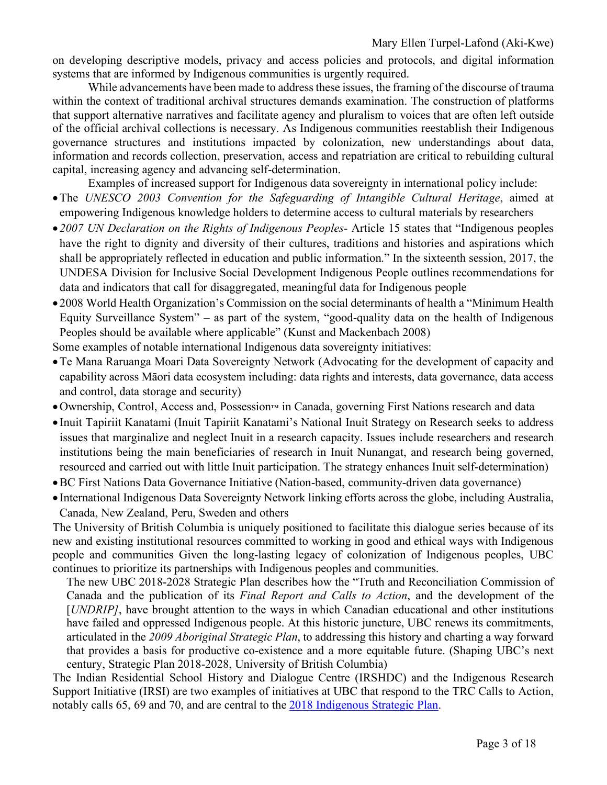on developing descriptive models, privacy and access policies and protocols, and digital information systems that are informed by Indigenous communities is urgently required.

While advancements have been made to address these issues, the framing of the discourse of trauma within the context of traditional archival structures demands examination. The construction of platforms that support alternative narratives and facilitate agency and pluralism to voices that are often left outside of the official archival collections is necessary. As Indigenous communities reestablish their Indigenous governance structures and institutions impacted by colonization, new understandings about data, information and records collection, preservation, access and repatriation are critical to rebuilding cultural capital, increasing agency and advancing self-determination.

Examples of increased support for Indigenous data sovereignty in international policy include:

- •The *UNESCO 2003 Convention for the Safeguarding of Intangible Cultural Heritage*, aimed at empowering Indigenous knowledge holders to determine access to cultural materials by researchers
- *2007 UN Declaration on the Rights of Indigenous Peoples* Article 15 states that "Indigenous peoples have the right to dignity and diversity of their cultures, traditions and histories and aspirations which shall be appropriately reflected in education and public information." In the sixteenth session, 2017, the UNDESA Division for Inclusive Social Development Indigenous People outlines recommendations for data and indicators that call for disaggregated, meaningful data for Indigenous people
- 2008 World Health Organization's Commission on the social determinants of health a "Minimum Health Equity Surveillance System" – as part of the system, "good-quality data on the health of Indigenous Peoples should be available where applicable" (Kunst and Mackenbach 2008)

Some examples of notable international Indigenous data sovereignty initiatives:

- •Te Mana Raruanga Moari Data Sovereignty Network (Advocating for the development of capacity and capability across Māori data ecosystem including: data rights and interests, data governance, data access and control, data storage and security)
- •Ownership, Control, Access and, Possession™ in Canada, governing First Nations research and data
- Inuit Tapiriit Kanatami (Inuit Tapiriit Kanatami's National Inuit Strategy on Research seeks to address issues that marginalize and neglect Inuit in a research capacity. Issues include researchers and research institutions being the main beneficiaries of research in Inuit Nunangat, and research being governed, resourced and carried out with little Inuit participation. The strategy enhances Inuit self-determination)
- •BC First Nations Data Governance Initiative (Nation-based, community-driven data governance)
- International Indigenous Data Sovereignty Network linking efforts across the globe, including Australia, Canada, New Zealand, Peru, Sweden and others

The University of British Columbia is uniquely positioned to facilitate this dialogue series because of its new and existing institutional resources committed to working in good and ethical ways with Indigenous people and communities Given the long-lasting legacy of colonization of Indigenous peoples, UBC continues to prioritize its partnerships with Indigenous peoples and communities.

The new UBC 2018-2028 Strategic Plan describes how the "Truth and Reconciliation Commission of Canada and the publication of its *Final Report and Calls to Action*, and the development of the [*UNDRIP]*, have brought attention to the ways in which Canadian educational and other institutions have failed and oppressed Indigenous people. At this historic juncture, UBC renews its commitments, articulated in the *2009 Aboriginal Strategic Plan*, to addressing this history and charting a way forward that provides a basis for productive co-existence and a more equitable future. (Shaping UBC's next century, Strategic Plan 2018-2028, University of British Columbia)

The Indian Residential School History and Dialogue Centre (IRSHDC) and the Indigenous Research Support Initiative (IRSI) are two examples of initiatives at UBC that respond to the TRC Calls to Action, notably calls 65, 69 and 70, and are central to the 2018 Indigenous Strategic Plan.